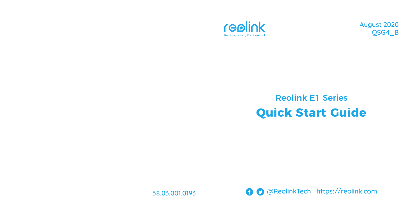

August 2020 QSG4\_B

# Reolink E1 Series **Quick Start Guide**

58.03.001.0193

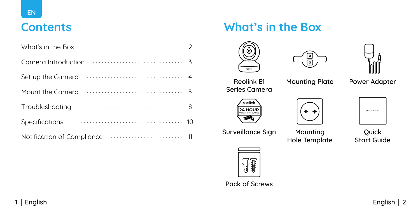| $\ldots \ldots \ldots \ldots \ldots \ldots \ldots \ldots \ldots \ldots$<br>What's in the Box |  |
|----------------------------------------------------------------------------------------------|--|
| $\frac{1}{3}$<br>Camera Introduction                                                         |  |
| Set up the Camera                                                                            |  |
| Mount the Camera                                                                             |  |
| $\ldots \ldots \ldots \ldots \ldots \ldots \ldots \ldots \ldots \ldots$<br>Troubleshooting   |  |
| <b>Specifications</b>                                                                        |  |
| Notification of Compliance                                                                   |  |

# **Contents What's in the Box**







Reolink E1 Series Camera

Mounting Plate Power Adapter







Surveillance Sign Mounting

Hole Template

Quick Start Guide



Pack of Screws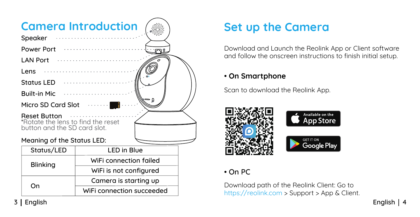

# **Set up the Camera**

Download and Launch the Reolink App or Client software and follow the onscreen instructions to finish initial setup.

### • **On Smartphone**

Scan to download the Reolink App.



### • On PC

Download path of the Reolink Client: Go to https://reolink.com > Support > App & Client.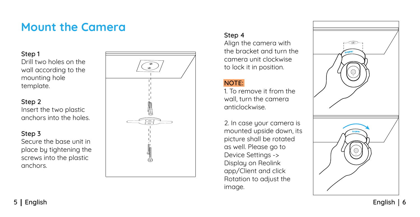# **Mount the Camera**

#### Step 1

Drill two holes on the wall according to the mounting hole template.

#### Step 2

Insert the two plastic anchors into the holes.

#### Step 3

Secure the base unit in place by tightening the screws into the plastic anchors.



#### Step 4

Align the camera with the bracket and turn the camera unit clockwise to lock it in position.

#### NOTE:

1. To remove it from the wall, turn the camera anticlockwise.

2. In case your camera is mounted upside down, its picture shall be rotated as well. Please go to Device Settings -> Display on Reolink app/Client and click Rotation to adjust the image.

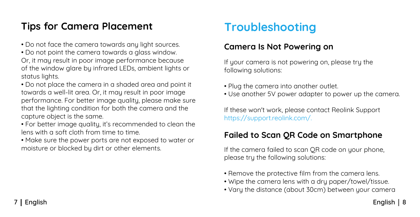# **Tips for Camera Placement**

• Do not face the camera towards any light sources.

• Do not point the camera towards a glass window. Or, it may result in poor image performance because of the window glare by infrared LEDs, ambient lights or status lights.

• Do not place the camera in a shaded area and point it towards a well-lit area. Or, it may result in poor image performance. For better image quality, please make sure that the lighting condition for both the camera and the capture object is the same.

• For better image quality, it's recommended to clean the lens with a soft cloth from time to time.

• Make sure the power ports are not exposed to water or moisture or blocked by dirt or other elements.

# **Troubleshooting**

# **Camera Is Not Powering on**

If your camera is not powering on, please try the following solutions:

- Plug the camera into another outlet.
- Use another 5V power adapter to power up the camera.

If these won't work, please contact Reolink Support https://support.reolink.com/.

## **Failed to Scan QR Code on Smartphone**

If the camera failed to scan QR code on your phone, please try the following solutions:

- Remove the protective film from the camera lens.
- Wipe the camera lens with a dry paper/towel/tissue.
- Vary the distance (about 30cm) between your camera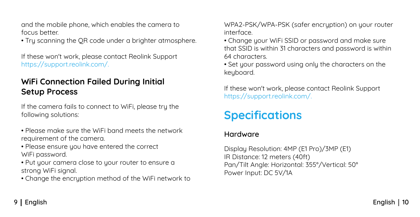and the mobile phone, which enables the camera to focus better.

• Try scanning the QR code under a brighter atmosphere.

If these won't work, please contact Reolink Support https://support.reolink.com/.

## **WiFi Connection Failed During Initial Setup Process**

If the camera fails to connect to WiFi, please try the following solutions:

- Please make sure the WiFi band meets the network requirement of the camera.
- Please ensure you have entered the correct WiFi password.
- Put your camera close to your router to ensure a strong WiFi signal.

• Change the encryption method of the WiFi network to

WPA2-PSK/WPA-PSK (safer encryption) on your router interface.

- Change your WiFi SSID or password and make sure that SSID is within 31 characters and password is within 64 characters.
- Set your password using only the characters on the keuboard.

If these won't work, please contact Reolink Support https://support.reolink.com/.

# **Specifications**

### Hardware

Display Resolution: 4MP (E1 Pro)/3MP (E1) IR Distance: 12 meters (40ft) Pan/Tilt Angle: Horizontal: 355°/Vertical: 50° Power Input: DC 5V/1A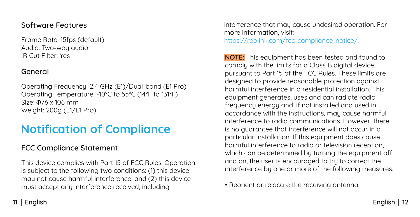### Software Features

Frame Rate: 15fps (default) Audio: Two-way audio IR Cut Filter: Yes

#### General

Operating Frequency: 2.4 GHz (E1)/Dual-band (E1 Pro) Operating Temperature: -10°C to 55°C (14°F to 131°F) Size: Φ76 x 106 mm Weight: 200g (E1/E1 Pro)

# **Notification of Compliance**

### FCC Compliance Statement

This device complies with Part 15 of FCC Rules. Operation is subject to the following two conditions: (1) this device may not cause harmful interference, and (2) this device must accept any interference received, including

interference that may cause undesired operation. For more information, visit: https://reolink.com/fcc-compliance-notice/.

NOTE: This equipment has been tested and found to comply with the limits for a Class B digital device, pursuant to Part 15 of the FCC Rules. These limits are designed to provide reasonable protection against harmful interference in a residential installation. This equipment generates, uses and can radiate radio frequency energy and, if not installed and used in accordance with the instructions, may cause harmful interference to radio communications. However, there is no guarantee that interference will not occur in a particular installation. If this equipment does cause harmful interference to radio or television reception, which can be determined by turning the equipment off and on, the user is encouraged to try to correct the interference by one or more of the following measures:

• Reorient or relocate the receiving antenna.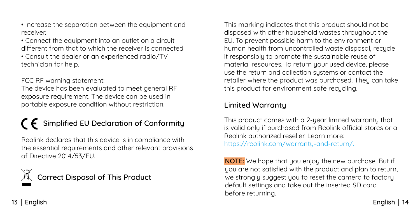- Increase the separation between the equipment and receiver.
- Connect the equipment into an outlet on a circuit different from that to which the receiver is connected.
- Consult the dealer or an experienced radio/TV technician for help.

FCC RF warning statement:

The device has been evaluated to meet general RF exposure requirement. The device can be used in portable exposure condition without restriction.

# $\bigcap$  Simplified EU Declaration of Conformity

Reolink declares that this device is in compliance with the essential requirements and other relevant provisions of Directive 2014/53/EU.

Correct Disposal of This Product

This marking indicates that this product should not be disposed with other household wastes throughout the EU. To prevent possible harm to the environment or human health from uncontrolled waste disposal, recycle it responsibly to promote the sustainable reuse of material resources. To return your used device, please use the return and collection systems or contact the retailer where the product was purchased. They can take this product for environment safe recycling.

### Limited Warranty

This product comes with a 2-year limited warranty that is valid only if purchased from Reolink official stores or a Reolink authorized reseller. Learn more: https://reolink.com/warranty-and-return/.

NOTE: We hope that you enjoy the new purchase. But if uou are not satisfied with the product and plan to return, we strongly suggest you to reset the camera to factory default settings and take out the inserted SD card before returning.